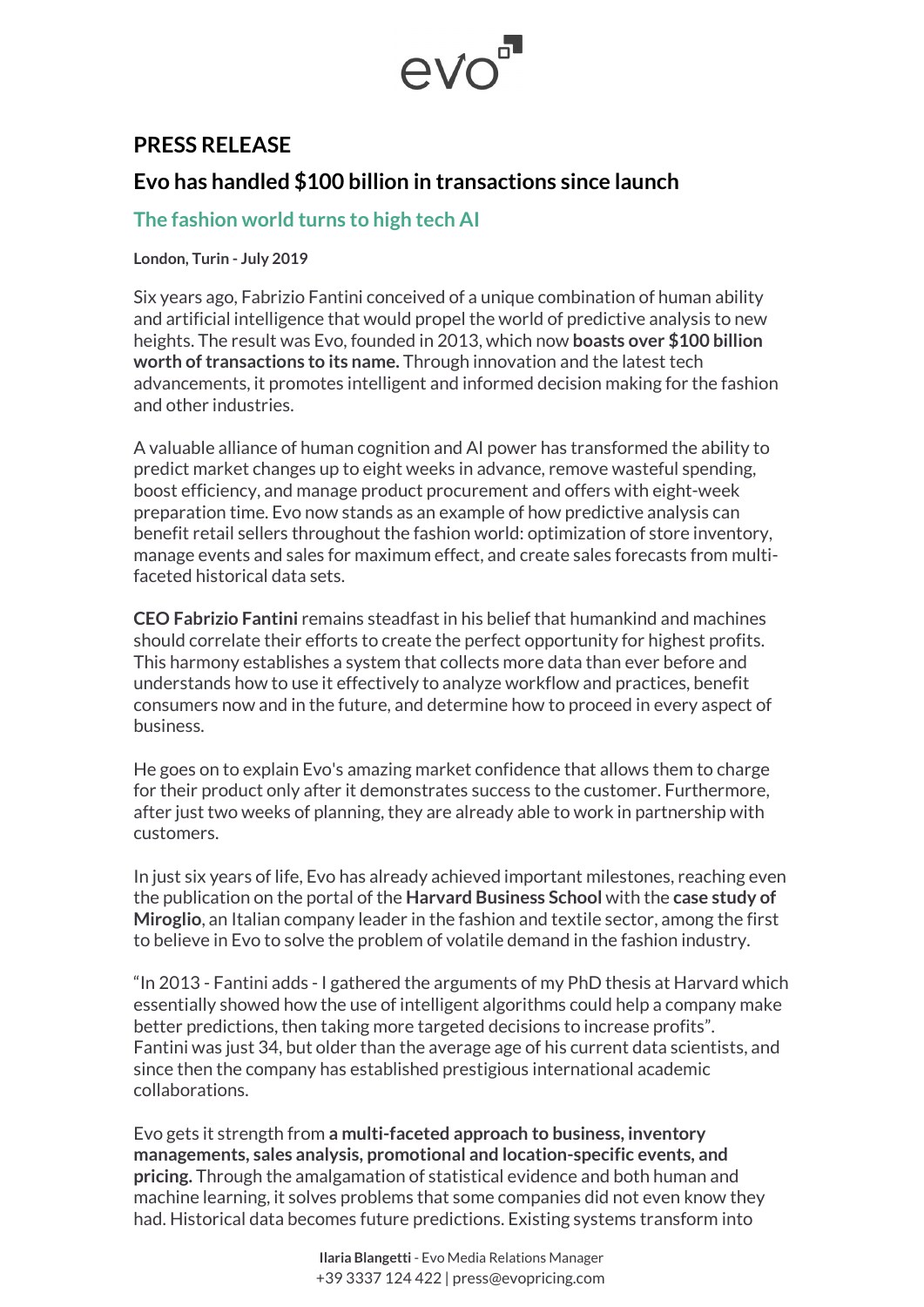## evo

## **PRESS RELEASE**

## **Evo has handled \$100 billion in transactions since launch**

## **The fashion world turns to high tech AI**

**London, Turin - July 2019**

Six years ago, Fabrizio Fantini conceived of a unique combination of human ability and artificial intelligence that would propel the world of predictive analysis to new heights. The result was Evo, founded in 2013, which now **boasts over \$100 billion worth of transactions to its name.** Through innovation and the latest tech advancements, it promotes intelligent and informed decision making for the fashion and other industries.

A valuable alliance of human cognition and AI power has transformed the ability to predict market changes up to eight weeks in advance, remove wasteful spending, boost efficiency, and manage product procurement and offers with eight-week preparation time. Evo now stands as an example of how predictive analysis can benefit retail sellers throughout the fashion world: optimization of store inventory, manage events and sales for maximum effect, and create sales forecasts from multifaceted historical data sets.

**CEO Fabrizio Fantini** remains steadfast in his belief that humankind and machines should correlate their efforts to create the perfect opportunity for highest profits. This harmony establishes a system that collects more data than ever before and understands how to use it effectively to analyze workflow and practices, benefit consumers now and in the future, and determine how to proceed in every aspect of business.

He goes on to explain Evo's amazing market confidence that allows them to charge for their product only after it demonstrates success to the customer. Furthermore, after just two weeks of planning, they are already able to work in partnership with customers.

In just six years of life, Evo has already achieved important milestones, reaching even the publication on the portal of the **Harvard Business School** with the **case study of Miroglio**, an Italian company leader in the fashion and textile sector, among the first to believe in Evo to solve the problem of volatile demand in the fashion industry.

"In 2013 - Fantini adds - I gathered the arguments of my PhD thesis at Harvard which essentially showed how the use of intelligent algorithms could help a company make better predictions, then taking more targeted decisions to increase profits". Fantini was just 34, but older than the average age of his current data scientists, and since then the company has established prestigious international academic collaborations.

Evo gets it strength from **a multi-faceted approach to business, inventory managements, sales analysis, promotional and location-specific events, and pricing.** Through the amalgamation of statistical evidence and both human and machine learning, it solves problems that some companies did not even know they had. Historical data becomes future predictions. Existing systems transform into